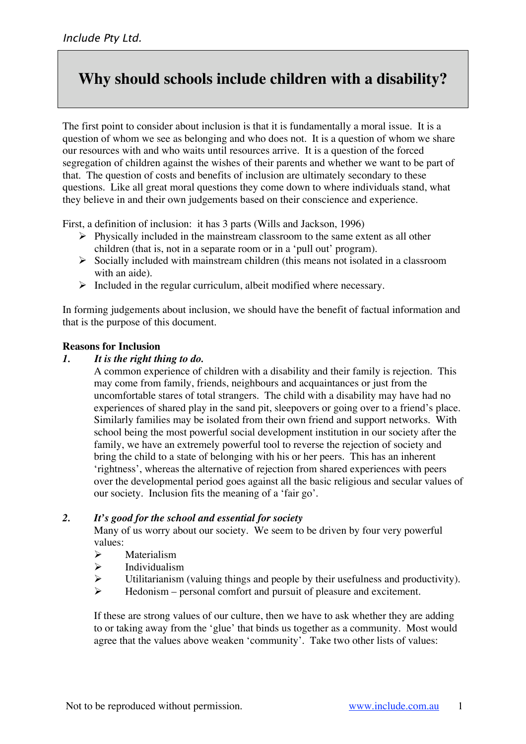# **Why should schools include children with a disability?**

The first point to consider about inclusion is that it is fundamentally a moral issue. It is a question of whom we see as belonging and who does not. It is a question of whom we share our resources with and who waits until resources arrive. It is a question of the forced segregation of children against the wishes of their parents and whether we want to be part of that. The question of costs and benefits of inclusion are ultimately secondary to these questions. Like all great moral questions they come down to where individuals stand, what they believe in and their own judgements based on their conscience and experience.

First, a definition of inclusion: it has 3 parts (Wills and Jackson, 1996)

- $\triangleright$  Physically included in the mainstream classroom to the same extent as all other children (that is, not in a separate room or in a 'pull out' program).
- $\triangleright$  Socially included with mainstream children (this means not isolated in a classroom with an aide).
- $\triangleright$  Included in the regular curriculum, albeit modified where necessary.

In forming judgements about inclusion, we should have the benefit of factual information and that is the purpose of this document.

#### **Reasons for Inclusion**

#### *1. It is the right thing to do.*

A common experience of children with a disability and their family is rejection. This may come from family, friends, neighbours and acquaintances or just from the uncomfortable stares of total strangers. The child with a disability may have had no experiences of shared play in the sand pit, sleepovers or going over to a friend's place. Similarly families may be isolated from their own friend and support networks. With school being the most powerful social development institution in our society after the family, we have an extremely powerful tool to reverse the rejection of society and bring the child to a state of belonging with his or her peers. This has an inherent 'rightness', whereas the alternative of rejection from shared experiences with peers over the developmental period goes against all the basic religious and secular values of our society. Inclusion fits the meaning of a 'fair go'.

#### *2. It's good for the school and essential for society*

Many of us worry about our society. We seem to be driven by four very powerful values:

- $\triangleright$  Materialism
- $\triangleright$  Individualism
- $\triangleright$  Utilitarianism (valuing things and people by their usefulness and productivity).
- $\triangleright$  Hedonism personal comfort and pursuit of pleasure and excitement.

If these are strong values of our culture, then we have to ask whether they are adding to or taking away from the 'glue' that binds us together as a community. Most would agree that the values above weaken 'community'. Take two other lists of values: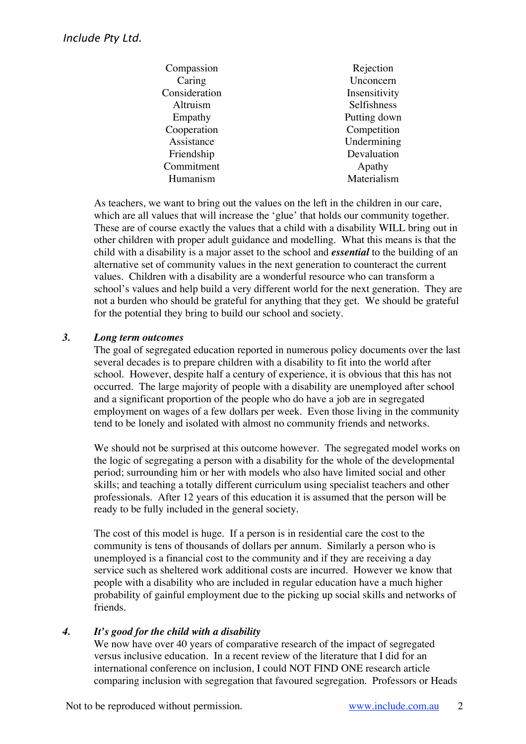| Rejection     |
|---------------|
| Unconcern     |
| Insensitivity |
| Selfishness   |
| Putting down  |
| Competition   |
| Undermining   |
| Devaluation   |
| Apathy        |
| Materialism   |
|               |

As teachers, we want to bring out the values on the left in the children in our care, which are all values that will increase the 'glue' that holds our community together. These are of course exactly the values that a child with a disability WILL bring out in other children with proper adult guidance and modelling. What this means is that the child with a disability is a major asset to the school and *essential* to the building of an alternative set of community values in the next generation to counteract the current values. Children with a disability are a wonderful resource who can transform a school's values and help build a very different world for the next generation. They are not a burden who should be grateful for anything that they get. We should be grateful for the potential they bring to build our school and society.

# *3. Long term outcomes*

The goal of segregated education reported in numerous policy documents over the last several decades is to prepare children with a disability to fit into the world after school. However, despite half a century of experience, it is obvious that this has not occurred. The large majority of people with a disability are unemployed after school and a significant proportion of the people who do have a job are in segregated employment on wages of a few dollars per week. Even those living in the community tend to be lonely and isolated with almost no community friends and networks.

We should not be surprised at this outcome however. The segregated model works on the logic of segregating a person with a disability for the whole of the developmental period; surrounding him or her with models who also have limited social and other skills; and teaching a totally different curriculum using specialist teachers and other professionals. After 12 years of this education it is assumed that the person will be ready to be fully included in the general society.

The cost of this model is huge. If a person is in residential care the cost to the community is tens of thousands of dollars per annum. Similarly a person who is unemployed is a financial cost to the community and if they are receiving a day service such as sheltered work additional costs are incurred. However we know that people with a disability who are included in regular education have a much higher probability of gainful employment due to the picking up social skills and networks of friends.

## *4. It's good for the child with a disability*

We now have over 40 years of comparative research of the impact of segregated versus inclusive education. In a recent review of the literature that I did for an international conference on inclusion, I could NOT FIND ONE research article comparing inclusion with segregation that favoured segregation. Professors or Heads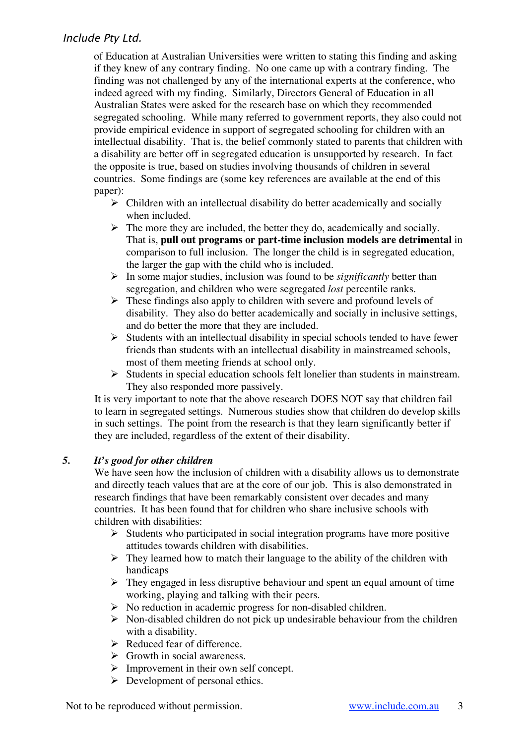# Include Pty Ltd.

of Education at Australian Universities were written to stating this finding and asking if they knew of any contrary finding. No one came up with a contrary finding. The finding was not challenged by any of the international experts at the conference, who indeed agreed with my finding. Similarly, Directors General of Education in all Australian States were asked for the research base on which they recommended segregated schooling. While many referred to government reports, they also could not provide empirical evidence in support of segregated schooling for children with an intellectual disability. That is, the belief commonly stated to parents that children with a disability are better off in segregated education is unsupported by research. In fact the opposite is true, based on studies involving thousands of children in several countries. Some findings are (some key references are available at the end of this paper):

- $\triangleright$  Children with an intellectual disability do better academically and socially when included.
- $\triangleright$  The more they are included, the better they do, academically and socially. That is, **pull out programs or part-time inclusion models are detrimental** in comparison to full inclusion. The longer the child is in segregated education, the larger the gap with the child who is included.
- In some major studies, inclusion was found to be *significantly* better than segregation, and children who were segregated *lost* percentile ranks.
- $\triangleright$  These findings also apply to children with severe and profound levels of disability. They also do better academically and socially in inclusive settings, and do better the more that they are included.
- $\triangleright$  Students with an intellectual disability in special schools tended to have fewer friends than students with an intellectual disability in mainstreamed schools, most of them meeting friends at school only.
- $\triangleright$  Students in special education schools felt lonelier than students in mainstream. They also responded more passively.

It is very important to note that the above research DOES NOT say that children fail to learn in segregated settings. Numerous studies show that children do develop skills in such settings. The point from the research is that they learn significantly better if they are included, regardless of the extent of their disability.

## *5. It's good for other children*

We have seen how the inclusion of children with a disability allows us to demonstrate and directly teach values that are at the core of our job. This is also demonstrated in research findings that have been remarkably consistent over decades and many countries. It has been found that for children who share inclusive schools with children with disabilities:

- $\triangleright$  Students who participated in social integration programs have more positive attitudes towards children with disabilities.
- $\triangleright$  They learned how to match their language to the ability of the children with handicaps
- $\triangleright$  They engaged in less disruptive behaviour and spent an equal amount of time working, playing and talking with their peers.
- $\triangleright$  No reduction in academic progress for non-disabled children.
- $\triangleright$  Non-disabled children do not pick up undesirable behaviour from the children with a disability.
- $\triangleright$  Reduced fear of difference.
- $\triangleright$  Growth in social awareness.
- $\triangleright$  Improvement in their own self concept.
- $\triangleright$  Development of personal ethics.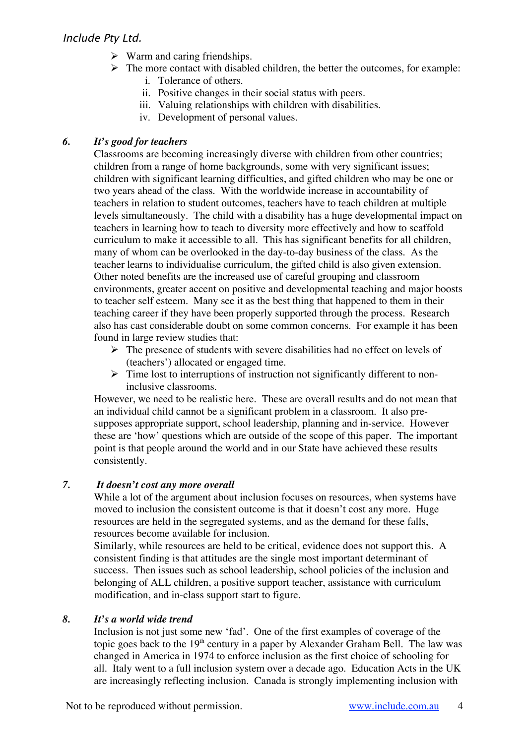- $\triangleright$  Warm and caring friendships.
- $\triangleright$  The more contact with disabled children, the better the outcomes, for example:
	- i. Tolerance of others.
	- ii. Positive changes in their social status with peers.
	- iii. Valuing relationships with children with disabilities.
	- iv. Development of personal values.

# *6. It's good for teachers*

Classrooms are becoming increasingly diverse with children from other countries; children from a range of home backgrounds, some with very significant issues; children with significant learning difficulties, and gifted children who may be one or two years ahead of the class. With the worldwide increase in accountability of teachers in relation to student outcomes, teachers have to teach children at multiple levels simultaneously. The child with a disability has a huge developmental impact on teachers in learning how to teach to diversity more effectively and how to scaffold curriculum to make it accessible to all. This has significant benefits for all children, many of whom can be overlooked in the day-to-day business of the class. As the teacher learns to individualise curriculum, the gifted child is also given extension. Other noted benefits are the increased use of careful grouping and classroom environments, greater accent on positive and developmental teaching and major boosts to teacher self esteem. Many see it as the best thing that happened to them in their teaching career if they have been properly supported through the process. Research also has cast considerable doubt on some common concerns. For example it has been found in large review studies that:

- $\triangleright$  The presence of students with severe disabilities had no effect on levels of (teachers') allocated or engaged time.
- $\triangleright$  Time lost to interruptions of instruction not significantly different to noninclusive classrooms.

However, we need to be realistic here. These are overall results and do not mean that an individual child cannot be a significant problem in a classroom. It also presupposes appropriate support, school leadership, planning and in-service. However these are 'how' questions which are outside of the scope of this paper. The important point is that people around the world and in our State have achieved these results consistently.

## *7. It doesn't cost any more overall*

While a lot of the argument about inclusion focuses on resources, when systems have moved to inclusion the consistent outcome is that it doesn't cost any more. Huge resources are held in the segregated systems, and as the demand for these falls, resources become available for inclusion.

Similarly, while resources are held to be critical, evidence does not support this. A consistent finding is that attitudes are the single most important determinant of success. Then issues such as school leadership, school policies of the inclusion and belonging of ALL children, a positive support teacher, assistance with curriculum modification, and in-class support start to figure.

# *8. It's a world wide trend*

Inclusion is not just some new 'fad'. One of the first examples of coverage of the topic goes back to the  $19<sup>th</sup>$  century in a paper by Alexander Graham Bell. The law was changed in America in 1974 to enforce inclusion as the first choice of schooling for all. Italy went to a full inclusion system over a decade ago. Education Acts in the UK are increasingly reflecting inclusion. Canada is strongly implementing inclusion with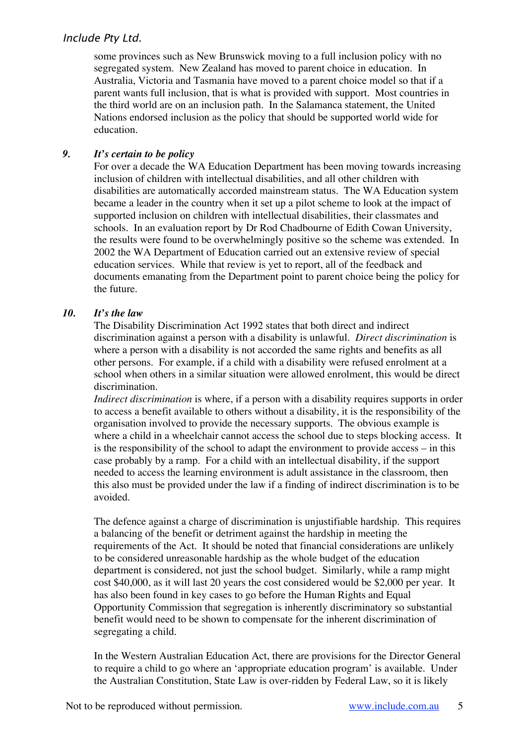# Include Pty Ltd.

some provinces such as New Brunswick moving to a full inclusion policy with no segregated system. New Zealand has moved to parent choice in education. In Australia, Victoria and Tasmania have moved to a parent choice model so that if a parent wants full inclusion, that is what is provided with support. Most countries in the third world are on an inclusion path. In the Salamanca statement, the United Nations endorsed inclusion as the policy that should be supported world wide for education.

## *9. It's certain to be policy*

For over a decade the WA Education Department has been moving towards increasing inclusion of children with intellectual disabilities, and all other children with disabilities are automatically accorded mainstream status. The WA Education system became a leader in the country when it set up a pilot scheme to look at the impact of supported inclusion on children with intellectual disabilities, their classmates and schools. In an evaluation report by Dr Rod Chadbourne of Edith Cowan University, the results were found to be overwhelmingly positive so the scheme was extended. In 2002 the WA Department of Education carried out an extensive review of special education services. While that review is yet to report, all of the feedback and documents emanating from the Department point to parent choice being the policy for the future.

## *10. It's the law*

The Disability Discrimination Act 1992 states that both direct and indirect discrimination against a person with a disability is unlawful. *Direct discrimination* is where a person with a disability is not accorded the same rights and benefits as all other persons. For example, if a child with a disability were refused enrolment at a school when others in a similar situation were allowed enrolment, this would be direct discrimination.

*Indirect discrimination* is where, if a person with a disability requires supports in order to access a benefit available to others without a disability, it is the responsibility of the organisation involved to provide the necessary supports. The obvious example is where a child in a wheelchair cannot access the school due to steps blocking access. It is the responsibility of the school to adapt the environment to provide access – in this case probably by a ramp. For a child with an intellectual disability, if the support needed to access the learning environment is adult assistance in the classroom, then this also must be provided under the law if a finding of indirect discrimination is to be avoided.

The defence against a charge of discrimination is unjustifiable hardship. This requires a balancing of the benefit or detriment against the hardship in meeting the requirements of the Act. It should be noted that financial considerations are unlikely to be considered unreasonable hardship as the whole budget of the education department is considered, not just the school budget. Similarly, while a ramp might cost \$40,000, as it will last 20 years the cost considered would be \$2,000 per year. It has also been found in key cases to go before the Human Rights and Equal Opportunity Commission that segregation is inherently discriminatory so substantial benefit would need to be shown to compensate for the inherent discrimination of segregating a child.

In the Western Australian Education Act, there are provisions for the Director General to require a child to go where an 'appropriate education program' is available. Under the Australian Constitution, State Law is over-ridden by Federal Law, so it is likely